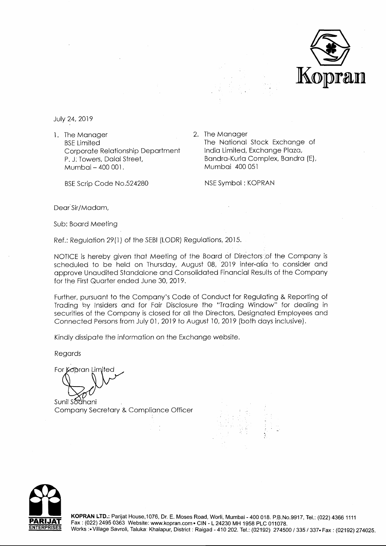

July 24, 2019

1. The Manager BSE Limited Corporate Relationship Department P. J: Towers, Dalal Street, Mumbai - 400 001.

BSE Scrip Code No.524280

2. The Manager The National Stock Exchange of India Limited, Exchange Plaza, Bandra-Kurla Complex, Bandra (E), Mumbai 400 051

NSE Symbol : KOPRAN

Dear<sup>Sir</sup>/Madam,

Sub: Board Meeting

Ref.: Regulation 29(1) of the SEBI (LODR) Regulations, 2015.

NOTICE is hereby given that Meeting of the Board of Directors·of the Company is scheduled to be held on Thursday, August 08, 2019 inter-alia to consider and approve Unaudited Standalone and Consolidated Financial Results of the Company for the First Quarter ended June 30, 2019.

Further, pursuant to the Company's Code of Conduct for Regulating & Reporting of Trading by Insiders and for Fair Disclosure the "Trading Window" for dealing in securities of the Company is closed for all the Directors, Designated Employees and Connected Persons from July 01, 2019 to August 10, 2019 (both days inclusive).

Kindly dissipate the information on the Exchange website.

Regards

For Kopran Limited

Sunil Sodhani Company Secretary & Compliance Officer



**KOPRAN LTD.:** Parijat House, 1076, Dr. E. Moses Road, Worli, Mumbai - 400 018. P.B.No.9917, Tel.: (022) 4366 1111 Fax: (022) 2495 0363 Website: www.kopran.com • CIN - L 24230 MH 1958 PLC 011078. Works :• Village Savroli, Taluka: Khalapur, District : Raigad - 410 202. Tel.: (02192) 274500 / 335 / 337• Fax : (02192) 274025.

-·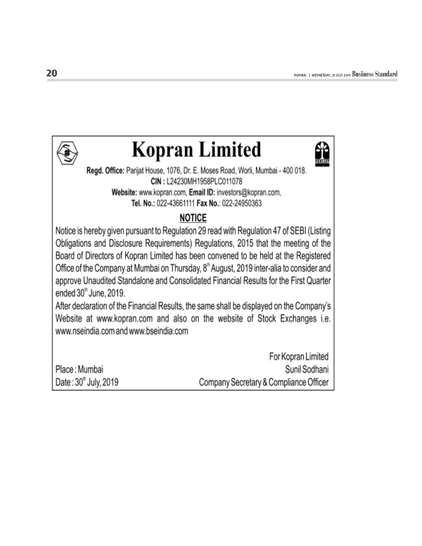

# **Kopran Limited**



Regd. Office: Parijat House, 1076, Dr. E. Moses Road, Worli, Mumbai - 400 018. CIN: L24230MH1958PLC011078 Website: www.kopran.com, Email ID: investors@kopran.com, Tel. No.: 022-43661111 Fax No.: 022-24950363

### **NOTICE**

Notice is hereby given pursuant to Regulation 29 read with Regulation 47 of SEBI (Listing Obligations and Disclosure Requirements) Regulations, 2015 that the meeting of the Board of Directors of Kopran Limited has been convened to be held at the Registered Office of the Company at Mumbai on Thursday, 8<sup>th</sup> August, 2019 inter-alia to consider and approve Unaudited Standalone and Consolidated Financial Results for the First Quarter ended 30" June, 2019.

After declaration of the Financial Results, the same shall be displayed on the Company's Website at www.kopran.com and also on the website of Stock Exchanges i.e. www.nseindia.com and www.bseindia.com

|                      | For Kopran Limited                     |
|----------------------|----------------------------------------|
| Place: Mumbai        | Sunil Sodhani                          |
| Date: 30" July, 2019 | Company Secretary & Compliance Officer |